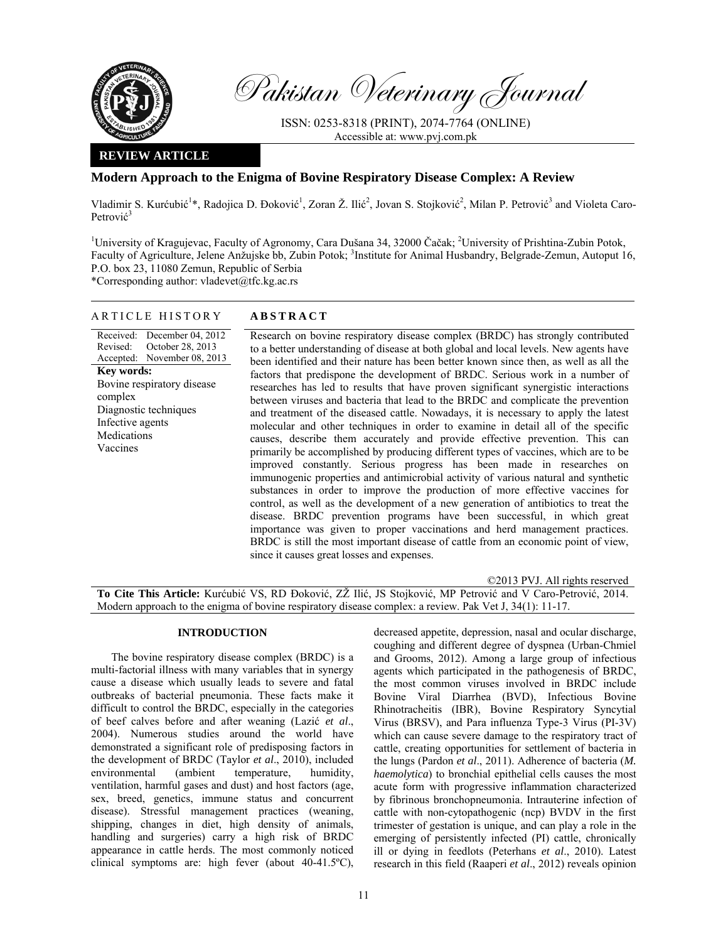

Pakistan Veterinary Journal

ISSN: 0253-8318 (PRINT), 2074-7764 (ONLINE) Accessible at: www.pvj.com.pk

# **REVIEW ARTICLE**

# **Modern Approach to the Enigma of Bovine Respiratory Disease Complex: A Review**

Vladimir S. Kurćubić<sup>1\*</sup>, Radojica D. Đoković<sup>1</sup>, Zoran Ž. Ilić<sup>2</sup>, Jovan S. Stojković<sup>2</sup>, Milan P. Petrović<sup>3</sup> and Violeta Caro-Petrović<sup>3</sup>

<sup>1</sup>University of Kragujevac, Faculty of Agronomy, Cara Dušana 34, 32000 Čačak; <sup>2</sup>University of Prishtina-Zubin Potok, Faculty of Agriculture, Jelene Anžujske bb, Zubin Potok; <sup>3</sup>Institute for Animal Husbandry, Belgrade-Zemun, Autoput 16, P.O. box 23, 11080 Zemun, Republic of Serbia

\*Corresponding author: vladevet@tfc.kg.ac.rs

## ARTICLE HISTORY **ABSTRACT**

Received: December 04, 2012 Revised: Accepted: October 28, 2013 November 08, 2013 **Key words:**  Bovine respiratory disease complex Diagnostic techniques Infective agents Medications Vaccines

Research on bovine respiratory disease complex (BRDC) has strongly contributed to a better understanding of disease at both global and local levels. New agents have been identified and their nature has been better known since then, as well as all the factors that predispone the development of BRDC. Serious work in a number of researches has led to results that have proven significant synergistic interactions between viruses and bacteria that lead to the BRDC and complicate the prevention and treatment of the diseased cattle. Nowadays, it is necessary to apply the latest molecular and other techniques in order to examine in detail all of the specific causes, describe them accurately and provide effective prevention. This can primarily be accomplished by producing different types of vaccines, which are to be improved constantly. Serious progress has been made in researches on immunogenic properties and antimicrobial activity of various natural and synthetic substances in order to improve the production of more effective vaccines for control, as well as the development of a new generation of antibiotics to treat the disease. BRDC prevention programs have been successful, in which great importance was given to proper vaccinations and herd management practices. BRDC is still the most important disease of cattle from an economic point of view, since it causes great losses and expenses.

©2013 PVJ. All rights reserved **To Cite This Article:** Kurćubić VS, RD Đoković, ZŽ Ilić, JS Stojković, MP Petrović and V Caro-Petrović, 2014. Modern approach to the enigma of bovine respiratory disease complex: a review. Pak Vet J, 34(1): 11-17.

### **INTRODUCTION**

The bovine respiratory disease complex (BRDC) is a multi-factorial illness with many variables that in synergy cause a disease which usually leads to severe and fatal outbreaks of bacterial pneumonia. These facts make it difficult to control the BRDC, especially in the categories of beef calves before and after weaning (Lazić *et al*., 2004). Numerous studies around the world have demonstrated a significant role of predisposing factors in the development of BRDC (Taylor *et al*., 2010), included environmental (ambient temperature, humidity, ventilation, harmful gases and dust) and host factors (age, sex, breed, genetics, immune status and concurrent disease). Stressful management practices (weaning, shipping, changes in diet, high density of animals, handling and surgeries) carry a high risk of BRDC appearance in cattle herds. The most commonly noticed clinical symptoms are: high fever (about 40-41.5ºC),

decreased appetite, depression, nasal and ocular discharge, coughing and different degree of dyspnea (Urban-Chmiel and Grooms, 2012). Among a large group of infectious agents which participated in the pathogenesis of BRDC, the most common viruses involved in BRDC include Bovine Viral Diarrhea (BVD), Infectious Bovine Rhinotracheitis (IBR), Bovine Respiratory Syncytial Virus (BRSV), and Para influenza Type-3 Virus (PI-3V) which can cause severe damage to the respiratory tract of cattle, creating opportunities for settlement of bacteria in the lungs (Pardon *et al*., 2011). Adherence of bacteria (*M. haemolytica*) to bronchial epithelial cells causes the most acute form with progressive inflammation characterized by fibrinous bronchopneumonia. Intrauterine infection of cattle with non-cytopathogenic (ncp) BVDV in the first trimester of gestation is unique, and can play a role in the emerging of persistently infected (PI) cattle, chronically ill or dying in feedlots (Peterhans *et al*., 2010). Latest research in this field (Raaperi *et al*., 2012) reveals opinion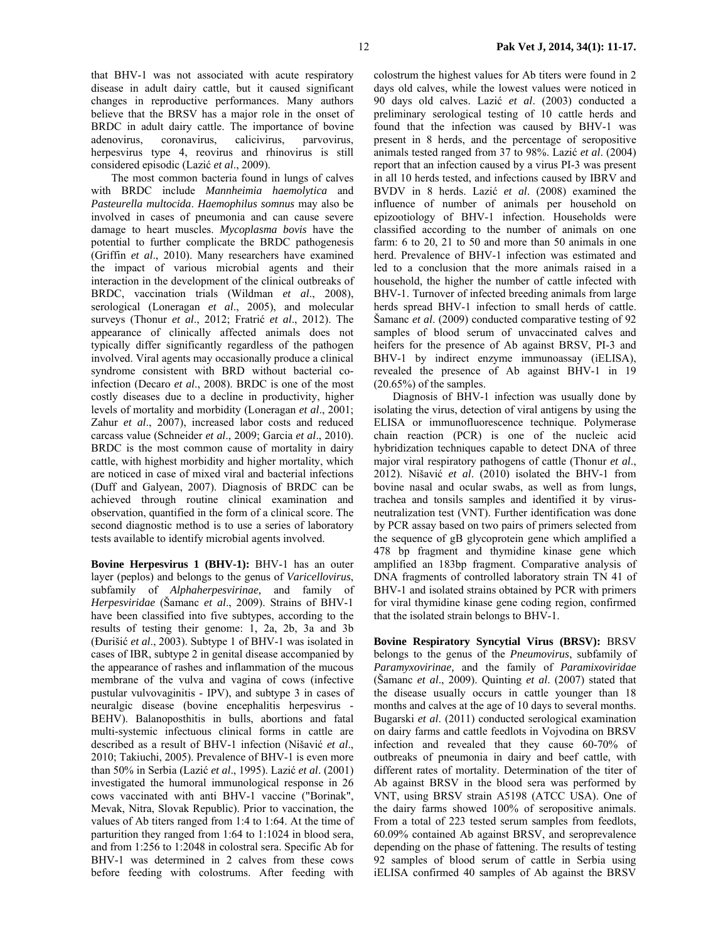that BHV-1 was not associated with acute respiratory disease in adult dairy cattle, but it caused significant changes in reproductive performances. Many authors believe that the BRSV has a major role in the onset of BRDC in adult dairy cattle. The importance of bovine adenovirus, coronavirus, calicivirus, parvovirus, herpesvirus type 4, reovirus and rhinovirus is still considered episodic (Lazić *et al*., 2009).

The most common bacteria found in lungs of calves with BRDC include *Mannheimia haemolytica* and *Pasteurella multocida*. *Haemophilus somnus* may also be involved in cases of pneumonia and can cause severe damage to heart muscles. *Mycoplasma bovis* have the potential to further complicate the BRDC pathogenesis (Griffin *et al*., 2010). Many researchers have examined the impact of various microbial agents and their interaction in the development of the clinical outbreaks of BRDC, vaccination trials (Wildman *et al*., 2008), serological (Loneragan *et al*., 2005), and molecular surveys (Thonur *et al*., 2012; Fratrić *et al*., 2012). The appearance of clinically affected animals does not typically differ significantly regardless of the pathogen involved. Viral agents may occasionally produce a clinical syndrome consistent with BRD without bacterial coinfection (Decaro *et al*., 2008). BRDC is one of the most costly diseases due to a decline in productivity, higher levels of mortality and morbidity (Loneragan *et al*., 2001; Zahur *et al*., 2007), increased labor costs and reduced carcass value (Schneider *et al*., 2009; Garcia *et al*., 2010). BRDC is the most common cause of mortality in dairy cattle, with highest morbidity and higher mortality, which are noticed in case of mixed viral and bacterial infections (Duff and Galyean, 2007). Diagnosis of BRDC can be achieved through routine clinical examination and observation, quantified in the form of a clinical score. The second diagnostic method is to use a series of laboratory tests available to identify microbial agents involved.

**Bovine Herpesvirus 1 (BHV-1):** BHV-1 has an outer layer (peplos) and belongs to the genus of *Varicellovirus*, subfamily of *Alphaherpesvirinae,* and family of *Herpesviridae* (Šamanc *et al*., 2009). Strains of BHV-1 have been classified into five subtypes, according to the results of testing their genome: 1, 2a, 2b, 3a and 3b (Đurišić *et al*., 2003). Subtype 1 of BHV-1 was isolated in cases of IBR, subtype 2 in genital disease accompanied by the appearance of rashes and inflammation of the mucous membrane of the vulva and vagina of cows (infective pustular vulvovaginitis - IPV), and subtype 3 in cases of neuralgic disease (bovine encephalitis herpesvirus - BEHV). Balanoposthitis in bulls, abortions and fatal multi-systemic infectuous clinical forms in cattle are described as a result of BHV-1 infection (Nišavić *et al*., 2010; Takiuchi, 2005). Prevalence of BHV-1 is even more than 50% in Serbia (Lazić *et al*., 1995). Lazić *et al*. (2001) investigated the humoral immunological response in 26 cows vaccinated with anti BHV-1 vaccine ("Borinak", Mevak, Nitra, Slovak Republic). Prior to vaccination, the values of Ab titers ranged from 1:4 to 1:64. At the time of parturition they ranged from 1:64 to 1:1024 in blood sera, and from 1:256 to 1:2048 in colostral sera. Specific Ab for BHV-1 was determined in 2 calves from these cows before feeding with colostrums. After feeding with

colostrum the highest values for Ab titers were found in 2 days old calves, while the lowest values were noticed in 90 days old calves. Lazić *et al*. (2003) conducted a preliminary serological testing of 10 cattle herds and found that the infection was caused by BHV-1 was present in 8 herds, and the percentage of seropositive animals tested ranged from 37 to 98%. Lazić *et al*. (2004) report that an infection caused by a virus PI-3 was present in all 10 herds tested, and infections caused by IBRV and BVDV in 8 herds. Lazić *et al*. (2008) examined the influence of number of animals per household on epizootiology of BHV-1 infection. Households were classified according to the number of animals on one farm: 6 to 20, 21 to 50 and more than 50 animals in one herd. Prevalence of BHV-1 infection was estimated and led to a conclusion that the more animals raised in a household, the higher the number of cattle infected with BHV-1. Turnover of infected breeding animals from large herds spread BHV-1 infection to small herds of cattle. Šamanc *et al*. (2009) conducted comparative testing of 92 samples of blood serum of unvaccinated calves and heifers for the presence of Ab against BRSV, PI-3 and BHV-1 by indirect enzyme immunoassay (iELISA), revealed the presence of Ab against BHV-1 in 19 (20.65%) of the samples.

Diagnosis of BHV-1 infection was usually done by isolating the virus, detection of viral antigens by using the ELISA or immunofluorescence technique. Polymerase chain reaction (PCR) is one of the nucleic acid hybridization techniques capable to detect DNA of three major viral respiratory pathogens of cattle (Thonur *et al*., 2012). Nišavić *et al*. (2010) isolated the BHV-1 from bovine nasal and ocular swabs, as well as from lungs, trachea and tonsils samples and identified it by virusneutralization test (VNT). Further identification was done by PCR assay based on two pairs of primers selected from the sequence of gB glycoprotein gene which amplified a 478 bp fragment and thymidine kinase gene which amplified an 183bp fragment. Comparative analysis of DNA fragments of controlled laboratory strain TN 41 of BHV-1 and isolated strains obtained by PCR with primers for viral thymidine kinase gene coding region, confirmed that the isolated strain belongs to BHV-1.

**Bovine Respiratory Syncytial Virus (BRSV):** BRSV belongs to the genus of the *Pneumovirus*, subfamily of *Paramyxovirinae,* and the family of *Paramixoviridae* (Šamanc *et al*., 2009). Quinting *et al*. (2007) stated that the disease usually occurs in cattle younger than 18 months and calves at the age of 10 days to several months. Bugarski *et al*. (2011) conducted serological examination on dairy farms and cattle feedlots in Vojvodina on BRSV infection and revealed that they cause 60-70% of outbreaks of pneumonia in dairy and beef cattle, with different rates of mortality. Determination of the titer of Ab against BRSV in the blood sera was performed by VNT, using BRSV strain A5198 (ATCC USA). One of the dairy farms showed 100% of seropositive animals. From a total of 223 tested serum samples from feedlots, 60.09% contained Ab against BRSV, and seroprevalence depending on the phase of fattening. The results of testing 92 samples of blood serum of cattle in Serbia using iELISA confirmed 40 samples of Ab against the BRSV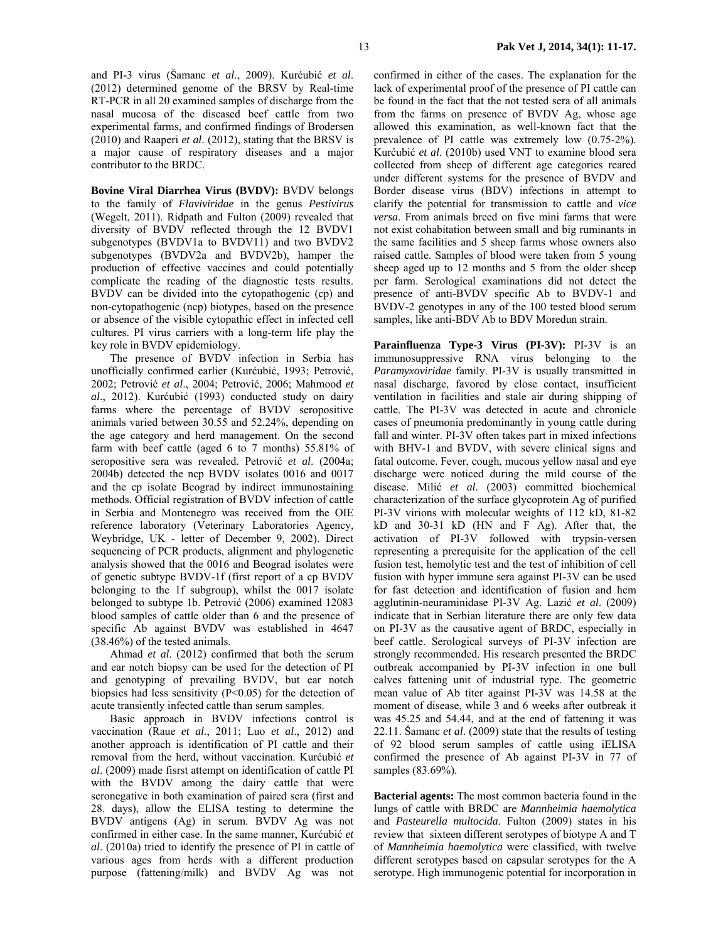and PI-3 virus (Šamanc *et al*., 2009). Kurćubić *et al*. (2012) determined genome of the BRSV by Real-time RT-PCR in all 20 examined samples of discharge from the nasal mucosa of the diseased beef cattle from two experimental farms, and confirmed findings of Brodersen (2010) and Raaperi *et al*. (2012), stating that the BRSV is a major cause of respiratory diseases and a major contributor to the BRDC.

**Bovine Viral Diarrhea Virus (BVDV):** BVDV belongs to the family of *Flaviviridae* in the genus *Pestivirus*  (Wegelt, 2011). Ridpath and Fulton (2009) revealed that diversity of BVDV reflected through the 12 BVDV1 subgenotypes (BVDV1a to BVDV11) and two BVDV2 subgenotypes (BVDV2a and BVDV2b), hamper the production of effective vaccines and could potentially complicate the reading of the diagnostic tests results. BVDV can be divided into the cytopathogenic (cp) and non-cytopathogenic (ncp) biotypes, based on the presence or absence of the visible cytopathic effect in infected cell cultures. PI virus carriers with a long-term life play the key role in BVDV epidemiology.

 The presence of BVDV infection in Serbia has unofficially confirmed earlier (Kurćubić, 1993; Petrović, 2002; Petrović *et al*., 2004; Petrović, 2006; Mahmood *et al*., 2012). Kurćubić (1993) conducted study on dairy farms where the percentage of BVDV seropositive animals varied between 30.55 and 52.24%, depending on the age category and herd management. On the second farm with beef cattle (aged 6 to 7 months) 55.81% of seropositive sera was revealed. Petrović *et al*. (2004a; 2004b) detected the ncp BVDV isolates 0016 and 0017 and the cp isolate Beograd by indirect immunostaining methods. Official registration of BVDV infection of cattle in Serbia and Montenegro was received from the OIE reference laboratory (Veterinary Laboratories Agency, Weybridge, UK - letter of December 9, 2002). Direct sequencing of PCR products, alignment and phylogenetic analysis showed that the 0016 and Beograd isolates were of genetic subtype BVDV-1f (first report of a cp BVDV belonging to the 1f subgroup), whilst the 0017 isolate belonged to subtype 1b. Petrović (2006) examined 12083 blood samples of cattle older than 6 and the presence of specific Ab against BVDV was established in 4647 (38.46%) of the tested animals.

 Ahmad *et al*. (2012) confirmed that both the serum and ear notch biopsy can be used for the detection of PI and genotyping of prevailing BVDV, but ear notch biopsies had less sensitivity (P<0.05) for the detection of acute transiently infected cattle than serum samples.

 Basic approach in BVDV infections control is vaccination (Raue *et al*., 2011; Luo *et al*., 2012) and another approach is identification of PI cattle and their removal from the herd, without vaccination. Kurćubić *et al*. (2009) made fisrst attempt on identification of cattle PI with the BVDV among the dairy cattle that were seronegative in both examination of paired sera (first and 28. days), allow the ELISA testing to determine the BVDV antigens (Ag) in serum. BVDV Ag was not confirmed in either case. In the same manner, Kurćubić *et al*. (2010a) tried to identify the presence of PI in cattle of various ages from herds with a different production purpose (fattening/milk) and BVDV Ag was not

confirmed in either of the cases. The explanation for the lack of experimental proof of the presence of PI cattle can be found in the fact that the not tested sera of all animals from the farms on presence of BVDV Ag, whose age allowed this examination, as well-known fact that the prevalence of PI cattle was extremely low (0.75-2%). Kurćubić *et al*. (2010b) used VNT to examine blood sera collected from sheep of different age categories reared under different systems for the presence of BVDV and Border disease virus (BDV) infections in attempt to clarify the potential for transmission to cattle and *vice versa*. From animals breed on five mini farms that were not exist cohabitation between small and big ruminants in the same facilities and 5 sheep farms whose owners also raised cattle. Samples of blood were taken from 5 young sheep aged up to 12 months and 5 from the older sheep per farm. Serological examinations did not detect the presence of anti-BVDV specific Ab to BVDV-1 and BVDV-2 genotypes in any of the 100 tested blood serum samples, like anti-BDV Ab to BDV Moredun strain.

**Parainfluenza Type-3 Virus (PI-3V):** PI-3V is an immunosuppressive RNA virus belonging to the *Paramyxoviridae* family. PI-3V is usually transmitted in nasal discharge, favored by close contact, insufficient ventilation in facilities and stale air during shipping of cattle. The PI-3V was detected in acute and chronicle cases of pneumonia predominantly in young cattle during fall and winter. PI-3V often takes part in mixed infections with BHV-1 and BVDV, with severe clinical signs and fatal outcome. Fever, cough, mucous yellow nasal and eye discharge were noticed during the mild course of the disease. Milić *et al*. (2003) committed biochemical characterization of the surface glycoprotein Ag of purified PI-3V virions with molecular weights of 112 kD, 81-82 kD and 30-31 kD (HN and F Ag). After that, the activation of PI-3V followed with trypsin-versen representing a prerequisite for the application of the cell fusion test, hemolytic test and the test of inhibition of cell fusion with hyper immune sera against PI-3V can be used for fast detection and identification of fusion and hem agglutinin-neuraminidase PI-3V Ag. Lazić *et al*. (2009) indicate that in Serbian literature there are only few data on PI-3V as the causative agent of BRDC, especially in beef cattle. Serological surveys of PI-3V infection are strongly recommended. His research presented the BRDC outbreak accompanied by PI-3V infection in one bull calves fattening unit of industrial type. The geometric mean value of Ab titer against PI-3V was 14.58 at the moment of disease, while 3 and 6 weeks after outbreak it was 45.25 and 54.44, and at the end of fattening it was 22.11. Šamanc *et al*. (2009) state that the results of testing of 92 blood serum samples of cattle using iELISA confirmed the presence of Ab against PI-3V in 77 of samples (83.69%).

**Bacterial agents:** The most common bacteria found in the lungs of cattle with BRDC are *Mannheimia haemolytica* and *Pasteurella multocida*. Fulton (2009) states in his review that sixteen different serotypes of biotype A and T of *Mannheimia haemolytica* were classified, with twelve different serotypes based on capsular serotypes for the A serotype. High immunogenic potential for incorporation in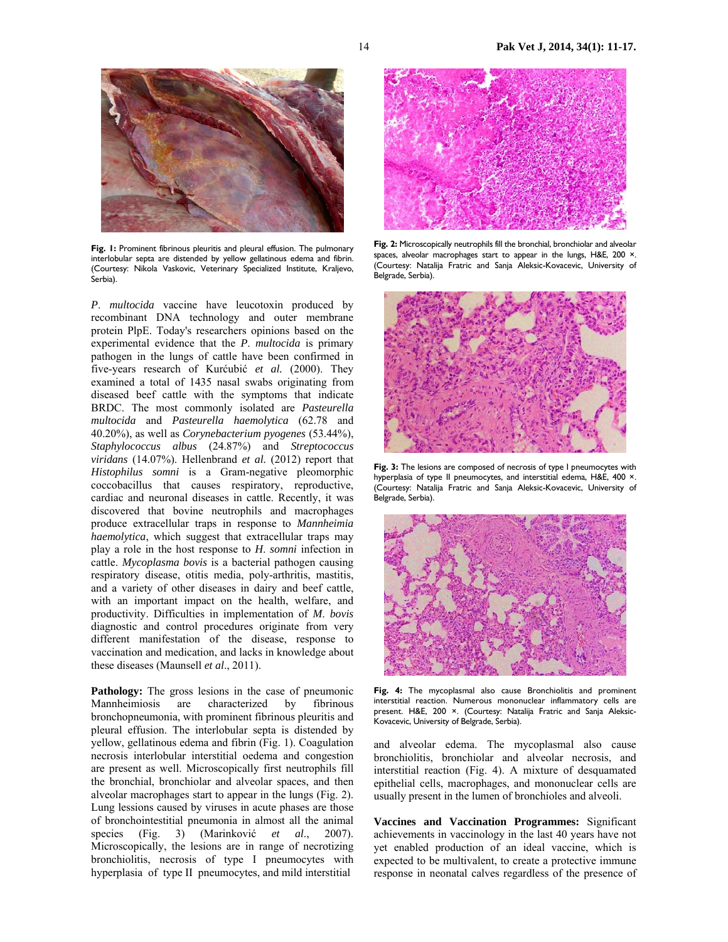

Fig. 1: Prominent fibrinous pleuritis and pleural effusion. The pulmonary interlobular septa are distended by yellow gellatinous edema and fibrin. (Courtesy: Nikola Vaskovic, Veterinary Specialized Institute, Kraljevo, Serbia).

*P*. *multocida* vaccine have leucotoxin produced by recombinant DNA technology and outer membrane protein PlpE. Today's researchers opinions based on the experimental evidence that the *P*. *multocida* is primary pathogen in the lungs of cattle have been confirmed in five-years research of Kurćubić *et al.* (2000). They examined a total of 1435 nasal swabs originating from diseased beef cattle with the symptoms that indicate BRDC. The most commonly isolated are *Pasteurella multocida* and *Pasteurella haemolytica* (62.78 and 40.20%), as well as *Corynebacterium pyogenes* (53.44%), *Staphylococcus albus* (24.87%) and *Streptococcus viridans* (14.07%). Hellenbrand *et al.* (2012) report that *Histophilus somni* is a Gram-negative pleomorphic coccobacillus that causes respiratory, reproductive, cardiac and neuronal diseases in cattle. Recently, it was discovered that bovine neutrophils and macrophages produce extracellular traps in response to *Mannheimia haemolytica*, which suggest that extracellular traps may play a role in the host response to *H*. *somni* infection in cattle. *Mycoplasma bovis* is a bacterial pathogen causing respiratory disease, otitis media, poly-arthritis, mastitis, and a variety of other diseases in dairy and beef cattle, with an important impact on the health, welfare, and productivity. Difficulties in implementation of *M*. *bovis* diagnostic and control procedures originate from very different manifestation of the disease, response to vaccination and medication, and lacks in knowledge about these diseases (Maunsell *et al*., 2011).

**Pathology:** The gross lesions in the case of pneumonic Mannheimiosis are characterized by fibrinous bronchopneumonia, with prominent fibrinous pleuritis and pleural effusion. The interlobular septa is distended by yellow, gellatinous edema and fibrin (Fig. 1). Coagulation necrosis interlobular interstitial oedema and congestion are present as well. Microscopically first neutrophils fill the bronchial, bronchiolar and alveolar spaces, and then alveolar macrophages start to appear in the lungs (Fig. 2). Lung lessions caused by viruses in acute phases are those of bronchointestitial pneumonia in almost all the animal species (Fig. 3) (Marinković *et al*., 2007). Microscopically, the lesions are in range of necrotizing bronchiolitis, necrosis of type I pneumocytes with hyperplasia of type II pneumocytes, and mild interstitial



**Fig. 2:** Microscopically neutrophils fill the bronchial, bronchiolar and alveolar spaces, alveolar macrophages start to appear in the lungs, H&E, 200 ×. (Courtesy: Natalija Fratric and Sanja Aleksic-Kovacevic, University of Belgrade, Serbia).



Fig. 3: The lesions are composed of necrosis of type I pneumocytes with hyperplasia of type II pneumocytes, and interstitial edema, H&E, 400 ×. (Courtesy: Natalija Fratric and Sanja Aleksic-Kovacevic, University of Belgrade, Serbia).



**Fig. 4:** The mycoplasmal also cause Bronchiolitis and prominent interstitial reaction. Numerous mononuclear inflammatory cells are present. H&E, 200 ×. (Courtesy: Natalija Fratric and Sanja Aleksic-Kovacevic, University of Belgrade, Serbia).

and alveolar edema. The mycoplasmal also cause bronchiolitis, bronchiolar and alveolar necrosis, and interstitial reaction (Fig. 4). A mixture of desquamated epithelial cells, macrophages, and mononuclear cells are usually present in the lumen of bronchioles and alveoli.

**Vaccines and Vaccination Programmes:** Significant achievements in vaccinology in the last 40 years have not yet enabled production of an ideal vaccine, which is expected to be multivalent, to create a protective immune response in neonatal calves regardless of the presence of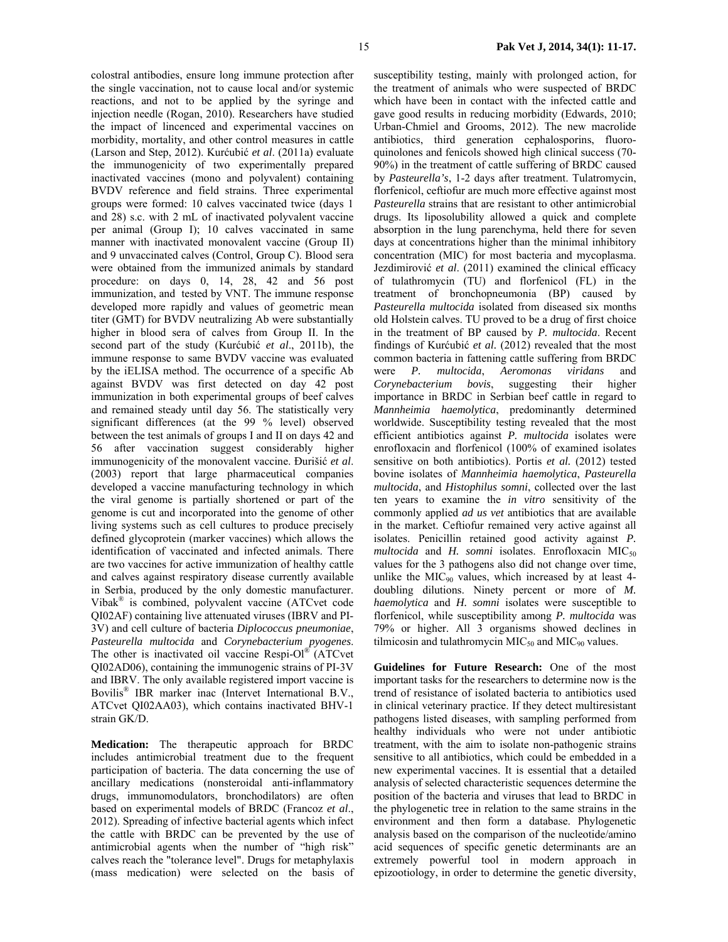colostral antibodies, ensure long immune protection after the single vaccination, not to cause local and/or systemic reactions, and not to be applied by the syringe and injection needle (Rogan, 2010). Researchers have studied the impact of lincenced and experimental vaccines on morbidity, mortality, and other control measures in cattle (Larson and Step, 2012). Kurćubić *et al*. (2011a) evaluate the immunogenicity of two experimentally prepared inactivated vaccines (mono and polyvalent) containing BVDV reference and field strains. Three experimental groups were formed: 10 calves vaccinated twice (days 1 and 28) s.c. with 2 mL of inactivated polyvalent vaccine per animal (Group I); 10 calves vaccinated in same manner with inactivated monovalent vaccine (Group II) and 9 unvaccinated calves (Control, Group C). Blood sera were obtained from the immunized animals by standard procedure: on days 0, 14, 28, 42 and 56 post immunization, and tested by VNT. The immune response developed more rapidly and values of geometric mean titer (GMT) for BVDV neutralizing Ab were substantially higher in blood sera of calves from Group II. In the second part of the study (Kurćubić *et al*., 2011b), the immune response to same BVDV vaccine was evaluated by the iELISA method. The occurrence of a specific Ab against BVDV was first detected on day 42 post immunization in both experimental groups of beef calves and remained steady until day 56. The statistically very significant differences (at the 99 % level) observed between the test animals of groups I and II on days 42 and 56 after vaccination suggest considerably higher immunogenicity of the monovalent vaccine. Đurišić *et al*. (2003) report that large pharmaceutical companies developed a vaccine manufacturing technology in which the viral genome is partially shortened or part of the genome is cut and incorporated into the genome of other living systems such as cell cultures to produce precisely defined glycoprotein (marker vaccines) which allows the identification of vaccinated and infected animals. There are two vaccines for active immunization of healthy cattle and calves against respiratory disease currently available in Serbia, produced by the only domestic manufacturer. Vibak® is combined, polyvalent vaccine (ATCvet code

QI02AF) containing live attenuated viruses (IBRV and PI-3V) and cell culture of bacteria *Diplococcus pneumoniae*, *Pasteurella multocida* and *Corynebacterium pyogenes*. The other is inactivated oil vaccine Respi-Ol® (ATCvet QI02AD06), containing the immunogenic strains of PI-3V and IBRV. The only available registered import vaccine is Bovilis® IBR marker inac (Intervet International B.V., ATCvet QI02AA03), which contains inactivated BHV-1 strain GK/D.

**Medication:** The therapeutic approach for BRDC includes antimicrobial treatment due to the frequent participation of bacteria. The data concerning the use of ancillary medications (nonsteroidal anti-inflammatory drugs, immunomodulators, bronchodilators) are often based on experimental models of BRDC (Francoz *et al*., 2012). Spreading of infective bacterial agents which infect the cattle with BRDC can be prevented by the use of antimicrobial agents when the number of "high risk" calves reach the "tolerance level". Drugs for metaphylaxis (mass medication) were selected on the basis of

susceptibility testing, mainly with prolonged action, for the treatment of animals who were suspected of BRDC which have been in contact with the infected cattle and gave good results in reducing morbidity (Edwards, 2010; Urban-Chmiel and Grooms, 2012). The new macrolide antibiotics, third generation cephalosporins, fluoroquinolones and fenicols showed high clinical success (70- 90%) in the treatment of cattle suffering of BRDC caused by *Pasteurella's*, 1-2 days after treatment. Tulatromycin, florfenicol, ceftiofur are much more effective against most *Pasteurella* strains that are resistant to other antimicrobial drugs. Its liposolubility allowed a quick and complete absorption in the lung parenchyma, held there for seven days at concentrations higher than the minimal inhibitory concentration (MIC) for most bacteria and mycoplasma. Jezdimirović *et al*. (2011) examined the clinical efficacy of tulathromycin (TU) and florfenicol (FL) in the treatment of bronchopneumonia (BP) caused by *Pasteurella multocida* isolated from diseased six months old Holstein calves. TU proved to be a drug of first choice in the treatment of BP caused by *P. multocida*. Recent findings of Kurćubić *et al.* (2012) revealed that the most common bacteria in fattening cattle suffering from BRDC were *P. multocida*, *Aeromonas viridans* and *Corynebacterium bovis*, suggesting their higher importance in BRDC in Serbian beef cattle in regard to *Mannheimia haemolytica*, predominantly determined worldwide. Susceptibility testing revealed that the most efficient antibiotics against *P. multocida* isolates were enrofloxacin and florfenicol (100% of examined isolates sensitive on both antibiotics). Portis *et al.* (2012) tested bovine isolates of *Mannheimia haemolytica*, *Pasteurella multocida*, and *Histophilus somni*, collected over the last ten years to examine the *in vitro* sensitivity of the commonly applied *ad us vet* antibiotics that are available in the market. Ceftiofur remained very active against all isolates. Penicillin retained good activity against *P.*   $multocida$  and  $H.$  *somni* isolates. Enrofloxacin MIC<sub>50</sub> values for the 3 pathogens also did not change over time, unlike the MIC $_{90}$  values, which increased by at least 4doubling dilutions. Ninety percent or more of *M. haemolytica* and *H. somni* isolates were susceptible to florfenicol, while susceptibility among *P. multocida* was 79% or higher. All 3 organisms showed declines in tilmicosin and tulathromycin  $MIC<sub>50</sub>$  and  $MIC<sub>90</sub>$  values.

**Guidelines for Future Research:** One of the most important tasks for the researchers to determine now is the trend of resistance of isolated bacteria to antibiotics used in clinical veterinary practice. If they detect multiresistant pathogens listed diseases, with sampling performed from healthy individuals who were not under antibiotic treatment, with the aim to isolate non-pathogenic strains sensitive to all antibiotics, which could be embedded in a new experimental vaccines. It is essential that a detailed analysis of selected characteristic sequences determine the position of the bacteria and viruses that lead to BRDC in the phylogenetic tree in relation to the same strains in the environment and then form a database. Phylogenetic analysis based on the comparison of the nucleotide/amino acid sequences of specific genetic determinants are an extremely powerful tool in modern approach in epizootiology, in order to determine the genetic diversity,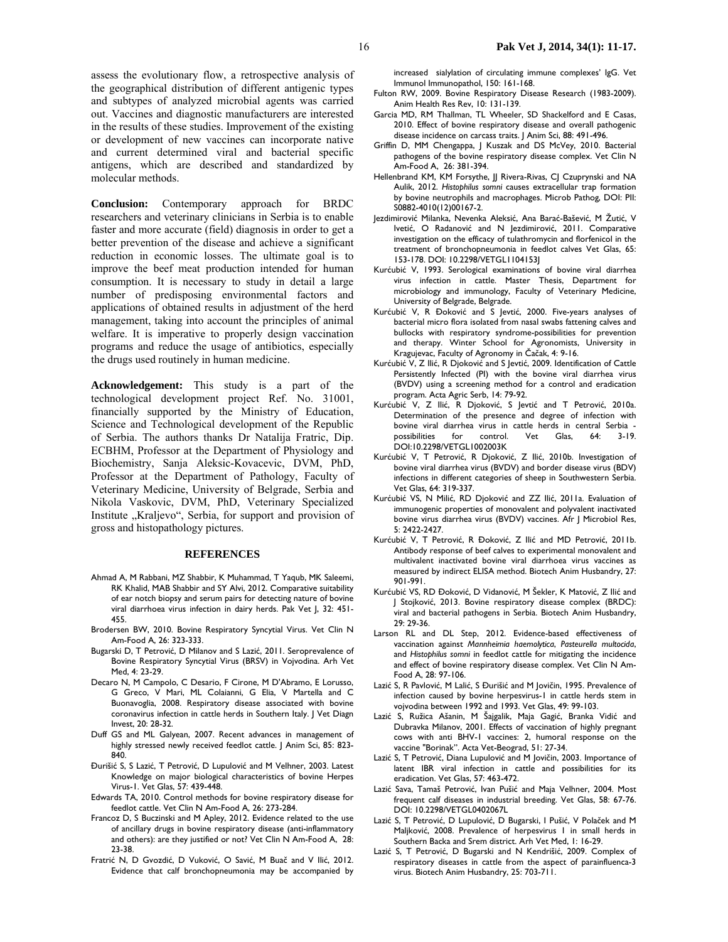assess the evolutionary flow, a retrospective analysis of the geographical distribution of different antigenic types and subtypes of analyzed microbial agents was carried out. Vaccines and diagnostic manufacturers are interested in the results of these studies. Improvement of the existing or development of new vaccines can incorporate native and current determined viral and bacterial specific antigens, which are described and standardized by molecular methods.

**Conclusion:** Contemporary approach for BRDC researchers and veterinary clinicians in Serbia is to enable faster and more accurate (field) diagnosis in order to get a better prevention of the disease and achieve a significant reduction in economic losses. The ultimate goal is to improve the beef meat production intended for human consumption. It is necessary to study in detail a large number of predisposing environmental factors and applications of obtained results in adjustment of the herd management, taking into account the principles of animal welfare. It is imperative to properly design vaccination programs and reduce the usage of antibiotics, especially the drugs used routinely in human medicine.

**Acknowledgement:** This study is a part of the technological development project Ref. No. 31001, financially supported by the Ministry of Education, Science and Technological development of the Republic of Serbia. The authors thanks Dr Natalija Fratric, Dip. ECBHM, Professor at the Department of Physiology and Biochemistry, Sanja Aleksic-Kovacevic, DVM, PhD, Professor at the Department of Pathology, Faculty of Veterinary Medicine, University of Belgrade, Serbia and Nikola Vaskovic, DVM, PhD, Veterinary Specialized Institute "Kraljevo", Serbia, for support and provision of gross and histopathology pictures.

#### **REFERENCES**

- Ahmad A, M Rabbani, MZ Shabbir, K Muhammad, T Yaqub, MK Saleemi, RK Khalid, MAB Shabbir and SY Alvi, 2012. Comparative suitability of ear notch biopsy and serum pairs for detecting nature of bovine viral diarrhoea virus infection in dairy herds. Pak Vet J, 32: 451- 455.
- Brodersen BW, 2010. Bovine Respiratory Syncytial Virus. Vet Clin N Am-Food A, 26: 323-333.
- Bugarski D, T Petrović, D Milanov and S Lazić, 2011. Seroprevalence of Bovine Respiratory Syncytial Virus (BRSV) in Vojvodina. Arh Vet Med, 4: 23-29.
- Decaro N, M Campolo, C Desario, F Cirone, M D'Abramo, E Lorusso, G Greco, V Mari, ML Colaianni, G Elia, V Martella and C Buonavoglia, 2008. Respiratory disease associated with bovine coronavirus infection in cattle herds in Southern Italy. J Vet Diagn Invest, 20: 28-32.
- Duff GS and ML Galyean, 2007. Recent advances in management of highly stressed newly received feedlot cattle. J Anim Sci, 85: 823- 840.
- Đurišić S, S Lazić, T Petrović, D Lupulović and M Velhner, 2003. Latest Knowledge on major biological characteristics of bovine Herpes Virus-1. Vet Glas, 57: 439-448.
- Edwards TA, 2010. Control methods for bovine respiratory disease for feedlot cattle. Vet Clin N Am-Food A, 26: 273-284.
- Francoz D, S Buczinski and M Apley, 2012. Evidence related to the use of ancillary drugs in bovine respiratory disease (anti-inflammatory and others): are they justified or not? Vet Clin N Am-Food A, 28: 23-38.
- Fratrić N, D Gvozdić, D Vuković, O Savić, M Buač and V Ilić, 2012. Evidence that calf bronchopneumonia may be accompanied by

increased sialylation of circulating immune complexes' IgG. Vet Immunol Immunopathol, 150: 161-168.

- Fulton RW, 2009. Bovine Respiratory Disease Research (1983-2009). Anim Health Res Rev, 10: 131-139.
- Garcia MD, RM Thallman, TL Wheeler, SD Shackelford and E Casas, 2010. Effect of bovine respiratory disease and overall pathogenic disease incidence on carcass traits. | Anim Sci, 88: 491-496.
- Griffin D, MM Chengappa, J Kuszak and DS McVey, 2010. Bacterial pathogens of the bovine respiratory disease complex. Vet Clin N Am-Food A, 26: 381-394.
- Hellenbrand KM, KM Forsythe, JJ Rivera-Rivas, CJ Czuprynski and NA Aulik, 2012. *Histophilus somni* causes extracellular trap formation by bovine neutrophils and macrophages. Microb Pathog, DOI: PII: S0882-4010(12)00167-2.
- Jezdimirović Milanka, Nevenka Aleksić, Ana Barać-Bašević, M Žutić, V Ivetić, O Radanović and N Jezdimirović, 2011. Comparative investigation on the efficacy of tulathromycin and florfenicol in the treatment of bronchopneumonia in feedlot calves Vet Glas, 65: 153-178. DOI: 10.2298/VETGL1104153J
- Kurćubić V, 1993. Serological examinations of bovine viral diarrhea virus infection in cattle. Master Thesis, Department for microbiology and immunology, Faculty of Veterinary Medicine, University of Belgrade, Belgrade.
- Kurćubić V, R Đoković and S Jevtić, 2000. Five-years analyses of bacterial micro flora isolated from nasal swabs fattening calves and bullocks with respiratory syndrome-possibilities for prevention and therapy. Winter School for Agronomists, University in Kragujevac, Faculty of Agronomy in Čačak, 4: 9-16.
- Kurćubić V, Z Ilić, R Djoković and S Jevtić, 2009. Identification of Cattle Persistently Infected (PI) with the bovine viral diarrhea virus (BVDV) using a screening method for a control and eradication program. Acta Agric Serb, 14: 79-92.
- Kurćubić V, Z Ilić, R Djoković, S Jevtić and T Petrović, 2010a. Determination of the presence and degree of infection with bovine viral diarrhea virus in cattle herds in central Serbia possibilities for control. Vet Glas, 64: 3-19. DOI:10.2298/VETGL1002003K
- Kurćubić V, T Petrović, R Djoković, Z Ilić, 2010b. Investigation of bovine viral diarrhea virus (BVDV) and border disease virus (BDV) infections in different categories of sheep in Southwestern Serbia. Vet Glas, 64: 319-337.
- Kurćubić VS, N Milić, RD Djoković and ZZ Ilić, 2011a. Evaluation of immunogenic properties of monovalent and polyvalent inactivated bovine virus diarrhea virus (BVDV) vaccines. Afr J Microbiol Res, 5: 2422-2427.
- Kurćubić V, T Petrović, R Đoković, Z Ilić and MD Petrović, 2011b. Antibody response of beef calves to experimental monovalent and multivalent inactivated bovine viral diarrhoea virus vaccines as measured by indirect ELISA method. Biotech Anim Husbandry, 27: 901-991.
- Kurćubić VS, RD Đoković, D Vidanović, M Šekler, K Matović, Z Ilić and J Stojković, 2013. Bovine respiratory disease complex (BRDC): viral and bacterial pathogens in Serbia. Biotech Anim Husbandry, 29: 29-36.
- Larson RL and DL Step, 2012. Evidence-based effectiveness of vaccination against *Mannheimia haemolytica*, *Pasteurella multocida*, and *Histophilus somni* in feedlot cattle for mitigating the incidence and effect of bovine respiratory disease complex. Vet Clin N Am-Food A, 28: 97-106.
- Lazić S, R Pavlović, M Lalić, S Đurišić and M Jovičin, 1995. Prevalence of infection caused by bovine herpesvirus-1 in cattle herds stem in vojvodina between 1992 and 1993. Vet Glas, 49: 99-103.
- Lazić S, Ružica Ašanin, M Šajgalik, Maja Gagić, Branka Vidić and Dubravka Milanov, 2001. Effects of vaccination of highly pregnant cows with anti BHV-1 vaccines: 2, humoral response on the vaccine "Borinak". Acta Vet-Beograd, 51: 27-34.
- Lazić S, T Petrović, Diana Lupulović and M Jovičin, 2003. Importance of latent IBR viral infection in cattle and possibilities for its eradication. Vet Glas, 57: 463-472.
- Lazić Sava, Tamaš Petrović, Ivan Pušić and Maja Velhner, 2004. Most frequent calf diseases in industrial breeding. Vet Glas, 58: 67-76. DOI: 10.2298/VETGL0402067L
- Lazić S, T Petrović, D Lupulović, D Bugarski, I Pušić, V Polaček and M Maljković, 2008. Prevalence of herpesvirus 1 in small herds in Southern Backa and Srem district. Arh Vet Med, 1: 16-29.
- Lazić S, T Petrović, D Bugarski and N Kendrišić, 2009. Complex of respiratory diseases in cattle from the aspect of parainfluenca-3 virus. Biotech Anim Husbandry, 25: 703-711.